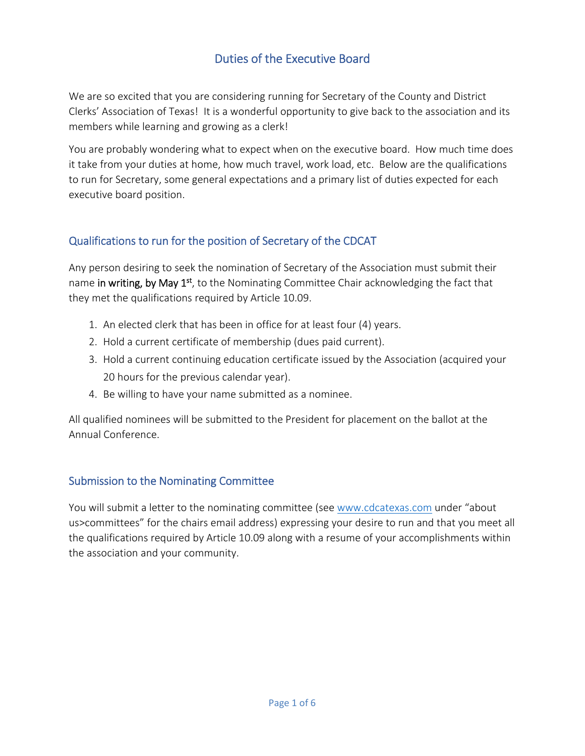# Duties of the Executive Board

We are so excited that you are considering running for Secretary of the County and District Clerks' Association of Texas! It is a wonderful opportunity to give back to the association and its members while learning and growing as a clerk!

You are probably wondering what to expect when on the executive board. How much time does it take from your duties at home, how much travel, work load, etc. Below are the qualifications to run for Secretary, some general expectations and a primary list of duties expected for each executive board position.

## Qualifications to run for the position of Secretary of the CDCAT

Any person desiring to seek the nomination of Secretary of the Association must submit their name in writing, by May 1<sup>st</sup>, to the Nominating Committee Chair acknowledging the fact that they met the qualifications required by Article 10.09.

- 1. An elected clerk that has been in office for at least four (4) years.
- 2. Hold a current certificate of membership (dues paid current).
- 3. Hold a current continuing education certificate issued by the Association (acquired your 20 hours for the previous calendar year).
- 4. Be willing to have your name submitted as a nominee.

All qualified nominees will be submitted to the President for placement on the ballot at the Annual Conference.

#### Submission to the Nominating Committee

You will submit a letter to the nominating committee (see [www.cdcatexas.com](http://www.cdcatexas.com/) under "about us>committees" for the chairs email address) expressing your desire to run and that you meet all the qualifications required by Article 10.09 along with a resume of your accomplishments within the association and your community.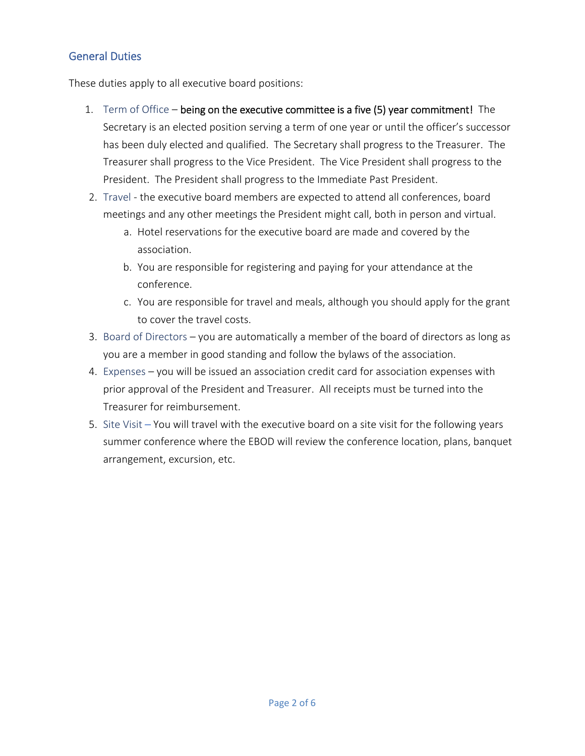## General Duties

These duties apply to all executive board positions:

- 1. Term of Office being on the executive committee is a five (5) year commitment! The Secretary is an elected position serving a term of one year or until the officer's successor has been duly elected and qualified. The Secretary shall progress to the Treasurer. The Treasurer shall progress to the Vice President. The Vice President shall progress to the President. The President shall progress to the Immediate Past President.
- 2. Travel the executive board members are expected to attend all conferences, board meetings and any other meetings the President might call, both in person and virtual.
	- a. Hotel reservations for the executive board are made and covered by the association.
	- b. You are responsible for registering and paying for your attendance at the conference.
	- c. You are responsible for travel and meals, although you should apply for the grant to cover the travel costs.
- 3. Board of Directors you are automatically a member of the board of directors as long as you are a member in good standing and follow the bylaws of the association.
- 4. Expenses you will be issued an association credit card for association expenses with prior approval of the President and Treasurer. All receipts must be turned into the Treasurer for reimbursement.
- 5. Site Visit You will travel with the executive board on a site visit for the following years summer conference where the EBOD will review the conference location, plans, banquet arrangement, excursion, etc.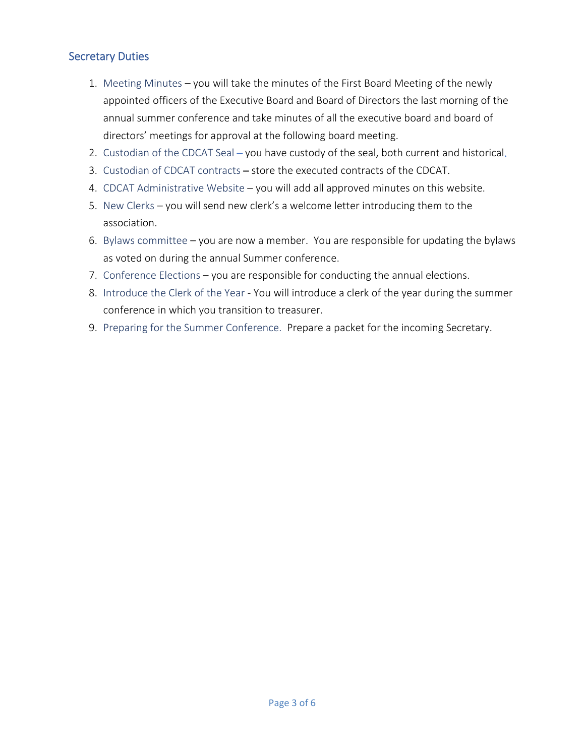#### Secretary Duties

- 1. Meeting Minutes you will take the minutes of the First Board Meeting of the newly appointed officers of the Executive Board and Board of Directors the last morning of the annual summer conference and take minutes of all the executive board and board of directors' meetings for approval at the following board meeting.
- 2. Custodian of the CDCAT Seal you have custody of the seal, both current and historical.
- 3. Custodian of CDCAT contracts store the executed contracts of the CDCAT.
- 4. CDCAT Administrative Website you will add all approved minutes on this website.
- 5. New Clerks you will send new clerk's a welcome letter introducing them to the association.
- 6. Bylaws committee you are now a member. You are responsible for updating the bylaws as voted on during the annual Summer conference.
- 7. Conference Elections you are responsible for conducting the annual elections.
- 8. Introduce the Clerk of the Year You will introduce a clerk of the year during the summer conference in which you transition to treasurer.
- 9. Preparing for the Summer Conference. Prepare a packet for the incoming Secretary.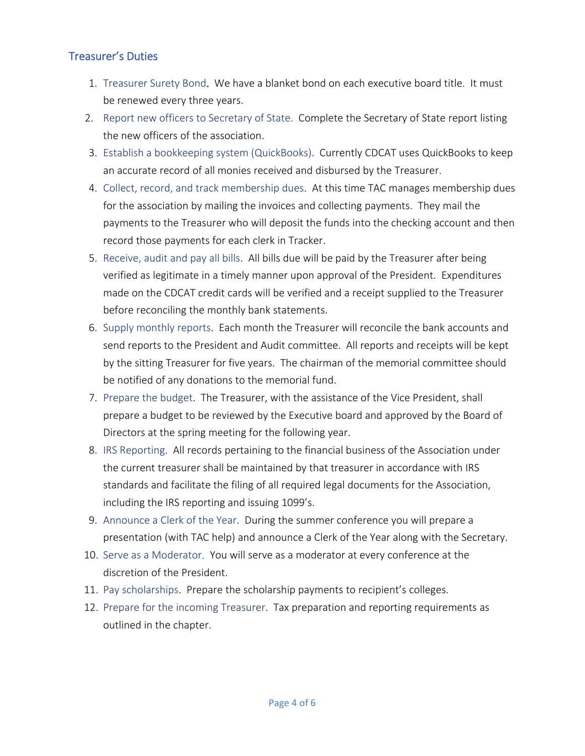## Treasurer's Duties

- 1. Treasurer Surety Bond. We have a blanket bond on each executive board title. It must be renewed every three years.
- 2. Report new officers to Secretary of State. Complete the Secretary of State report listing the new officers of the association.
- 3. Establish a bookkeeping system (QuickBooks). Currently CDCAT uses QuickBooks to keep an accurate record of all monies received and disbursed by the Treasurer.
- 4. Collect, record, and track membership dues. At this time TAC manages membership dues for the association by mailing the invoices and collecting payments. They mail the payments to the Treasurer who will deposit the funds into the checking account and then record those payments for each clerk in Tracker.
- 5. Receive, audit and pay all bills. All bills due will be paid by the Treasurer after being verified as legitimate in a timely manner upon approval of the President. Expenditures made on the CDCAT credit cards will be verified and a receipt supplied to the Treasurer before reconciling the monthly bank statements.
- 6. Supply monthly reports. Each month the Treasurer will reconcile the bank accounts and send reports to the President and Audit committee. All reports and receipts will be kept by the sitting Treasurer for five years. The chairman of the memorial committee should be notified of any donations to the memorial fund.
- 7. Prepare the budget. The Treasurer, with the assistance of the Vice President, shall prepare a budget to be reviewed by the Executive board and approved by the Board of Directors at the spring meeting for the following year.
- 8. IRS Reporting. All records pertaining to the financial business of the Association under the current treasurer shall be maintained by that treasurer in accordance with IRS standards and facilitate the filing of all required legal documents for the Association, including the IRS reporting and issuing 1099's.
- 9. Announce a Clerk of the Year. During the summer conference you will prepare a presentation (with TAC help) and announce a Clerk of the Year along with the Secretary.
- 10. Serve as a Moderator. You will serve as a moderator at every conference at the discretion of the President.
- 11. Pay scholarships. Prepare the scholarship payments to recipient's colleges.
- 12. Prepare for the incoming Treasurer. Tax preparation and reporting requirements as outlined in the chapter.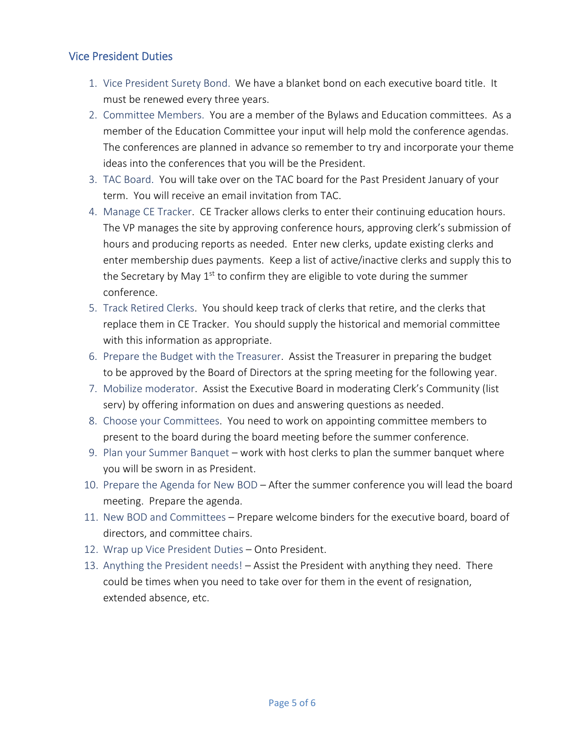#### Vice President Duties

- 1. Vice President Surety Bond.We have a blanket bond on each executive board title. It must be renewed every three years.
- 2. Committee Members. You are a member of the Bylaws and Education committees. As a member of the Education Committee your input will help mold the conference agendas. The conferences are planned in advance so remember to try and incorporate your theme ideas into the conferences that you will be the President.
- 3. TAC Board. You will take over on the TAC board for the Past President January of your term. You will receive an email invitation from TAC.
- 4. Manage CE Tracker. CE Tracker allows clerks to enter their continuing education hours. The VP manages the site by approving conference hours, approving clerk's submission of hours and producing reports as needed. Enter new clerks, update existing clerks and enter membership dues payments. Keep a list of active/inactive clerks and supply this to the Secretary by May  $1<sup>st</sup>$  to confirm they are eligible to vote during the summer conference.
- 5. Track Retired Clerks. You should keep track of clerks that retire, and the clerks that replace them in CE Tracker. You should supply the historical and memorial committee with this information as appropriate.
- 6. Prepare the Budget with the Treasurer. Assist the Treasurer in preparing the budget to be approved by the Board of Directors at the spring meeting for the following year.
- 7. Mobilize moderator. Assist the Executive Board in moderating Clerk's Community (list serv) by offering information on dues and answering questions as needed.
- 8. Choose your Committees. You need to work on appointing committee members to present to the board during the board meeting before the summer conference.
- 9. Plan your Summer Banquet work with host clerks to plan the summer banquet where you will be sworn in as President.
- 10. Prepare the Agenda for New BOD After the summer conference you will lead the board meeting. Prepare the agenda.
- 11. New BOD and Committees Prepare welcome binders for the executive board, board of directors, and committee chairs.
- 12. Wrap up Vice President Duties Onto President.
- 13. Anything the President needs! Assist the President with anything they need. There could be times when you need to take over for them in the event of resignation, extended absence, etc.